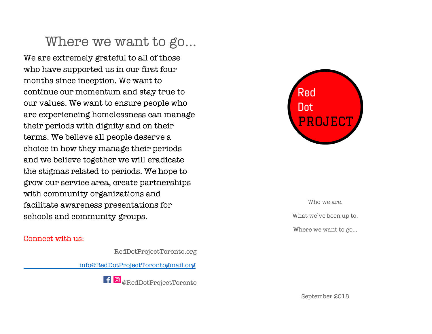## Where we want to go…

We are extremely grateful to all of those who have supported us in our first four months since inception. We want to continue our momentum and stay true to our values. We want to ensure people who are experiencing homelessness can manage their periods with dignity and on their terms. We believe all people deserve a choice in how they manage their periods and we believe together we will eradicate the stigmas related to periods. We hope to grow our service area, create partnerships with community organizations and facilitate awareness presentations for schools and community groups.

#### Connect with us:

RedDotProjectToronto.org

info@RedDotProjectTorontogmail.org





Who we are. What we've been up to. Where we want to go…

September 2018